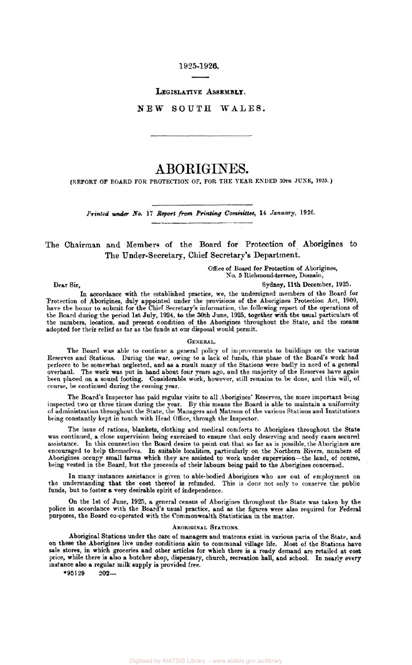## **1925-1926.**

# **LEGISLATIVE ASSEMBLY.**

## **NEW SOUTH WALES.**

# ABORIGINES.

**(REPORT OF BOARD FOR PROTECTION OF, FOR THE YEAR ENDED 30th JUNE, 1925.)** 

*Printed* under *NO.* **17** *Report* from *Printing* Committee, **14** *January,* **1926.** 

The Chairman and Members of the Board for Protection **of** Aborigines to The Under-Secretary, Chief Secretary's Department.

> **Office** of **Board** for Protection of Aborigines, **No. 5** Richmond-terrace, Domain,

> > Sydney, 11th December, **1925.**

In accordance with the established practice, we, the undersigned members of the Board for 'Protection of Aborigines, duly appointed under the provisions of the Aborigines Protection Act, **1909,**  have the honor to submit for the Chief Secretary's information, the following report of the operations of the Board during the period 1st July, **1924,** *to* the 30th June, **1925,** together with the usual particulars **of**  the numbers, location, and present condition of the Aborigines throughout the State, and the means adopted for their relief **as** far as the funds at our disposal would permit.

#### **GENERAL.**

The Board was able to continue a general policy of improvements to buildings on the various Reserves and Stations. During the war, owing to a lack of funds, this phase of the Board's work had perforce to be somewhat neglected, and **as** a result many of the Stations were badly in need of a general overhaul. The work was put in hand about four years ago, and the majority of the Reserves have again been placed on a sound footing. Considerable work, however, still remains to be done, and this will, of course, be continued during the coming year.

The Board's Inspector has paid regular visits to all Aborigines' Reserves, the more important **being**  inspected two or three times during the year. By this means the Board is able to maintain a uniformity of administration throughout the State, the Managers and Matrons of the various Stations and Institutions being constantly kept in touch with Head Office, through the Inspector.

The issue of rations, blankets, clothing and medical comforts to Aborigines throughout the State was continued, a close supervision being exercised to ensure that only deserving and needy cases secured assistance. In this connection the Board desire *to* point out that *so* far as is possible, the Aborigines are. encouraged to help themselves. In suitable localities, particularly **on** the Northern Rivers, numbers of Aborigines occupy small farms which they are assisted to work under supervision-the land, of course, being vested in the Board, but the proceeds of their labours being paid to the Aborigines concerned.

In many instances assistance is given to able-bodied Aborigines who are out of employment on the understanding that the **cost** thereof is refunded. This is done not only to conserve the public funds, but to foster **a** very desirable spirit of independence.

**On** the 1st of June, **1925, a** general census of Aborigines throughout the State **was** taken **by** the police in accordance with the **Board's** usual practice, and as the figures were also required for Federal purposes, the Board co-operated with the Commonwealth Statistician in the matter.

#### **ABORIGINAL STATIONS.**

Aboriginal Stations under the care of managers and matrons exist in various parts **of** the State, and on these the Aborigines live under conditions akin to communal village life. Most of the Stations have sale stores, in which groceries and other articles for which there is a ready demand are retailed at **cost**  price, while there is also **a** butcher shop, **dispensary,** church, recreation hall, and school. In nearly every instance also **a** regular milk supply is provided free.

**\*95129** *202-*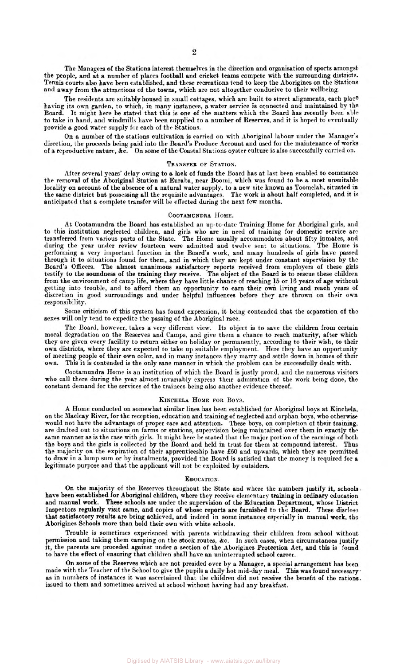The Managers of the Stations interest themselves in the direction and organisation of sports amongst the people, and at a number of places football and cricket teams compete with the surrounding districts. Tennis courts also have been established, and these recreations tend to keep the Aborigines on the Stations and away from the attractions of the towns, which are not altogether conducive to their wellbeing.

The residents are suitably housed in small cottages, which are built to street alignments, each place having its **own** garden, to which, in many instances, a water service *is* connected and maintained by the Board. It might here be stated that this is one of the matters which the Board has recently been able to take in hand, and windmills hare been supplied to a number of Reserves, and it is hoped to eventually provide a good water supply for each of the Stations.

On a number of the stations cultivation is carried on with Aboriginal labour under the Manager's direction, the proceeds being paid into the Board's Produce Account and used for the maintenance of works of a reproductive nature, &c. On some of the Coastal Stations oyster culture is also successfully carried on.

#### TRANSFER OF STATION.

After several years' delay owing to a lack of funds the Board has at last been enabled to commence the removal of the Aboriginal Station at Euraba, near Boomi, which was found to be a most unsuitable locality on account of the absence of a natural water supply, to a new site known as Toomelah, situated in the same district but possessing all the requisite advantages. The work is about half completed, and it is anticipated that a complete transfer will be effected during the next few months.

#### COOTAMUNDRA HOME.

At Cootamundra the Board has established an up-to-date Training Home for Aboriginal girls, and to this institution neglected children, and girls who are in need of training for domestic service are transferred from various parts of the State. The Home usually accommodates about fifty inmates, and during the year under review fourteen were admitted and twelve sent to situations. The Home is performing a very important function in the Board's work, and many hundreds of **girls** have passed through it to situations found for them, and in which they are kept under constant supervision by the Board's Officers. The almost unanimous satisfactory reports received from employers of these girls testify to the soundness of the training they receive. The object of the Board is to rescue these children from the environment of camp life, where they have little chance of reaching **15** or 16 years of age without getting into trouble, and to afford them an opportunity to earn their **own** living and reach **years** of discretion in good surroundings and under helpful influences before they are thrown **on** their own responsibility.

Some criticism of this system has found expression, it being contended that the separation of the sexes will only tend to expedite the passing of the Aboriginal race.

The Board, however, takes a very different view. Its object is to save the children from certain moral degradation on the Reserves and Camps, and give them a chance to reach maturity, after which they are given every facility to return either on holiday or permanently, according to their wish, *to* their own districts, where they are expected to take up suitable employment. Here they have an opportunity of meeting people of their own color, and in many instances they marry and settle down in homes of their This it is contended is the only sane manner in which the problem can be successfully dealt with.

Cootamundra Home is an institution of which the Board is justly proud, and the numerous visitors who call there during the year almost invariably express their admiration of the work being done, the constant demand for the services of the trainees being also another evidence thereof.

## **KINCHELA HOME** FOR BOYS.

A Home conducted on somewhat similar lines has been established for Aboriginal boys at Kinchela, on the Macleay River, for the reception, education and training of neglected and orphan boys, who otherwiae would not have the advantage of proper care and attention. These boys, on completion of their training. are drafted out to situations on farms or stations, supervision being maintained over them in exactly the are drafted out to situations on farms or stations, supervision being maintained over them in exactly the same manner as is the case with girls. It might here be stated that the major portion of the earnings of both the boys and the girls is collected by the Board and held in trust for them at compound interest. Thus the majority on the expiration of their apprenticeship have £60 and upwards, which they are permitted to draw in a lump **sum** or by instalments, provided the Board is satisfied that the money is required for **a** legitimate purpose and that the applicant will not be exploited by outsiders.

#### EDUCATION.

have been established for Aboriginal children, where they receive elementary training in ordinary education and manual work. These schools are under the supervision of the Education Department, whose District Inspectors regularly visit same, and copies of whose reports are furnished to the Board. These disclose that satisfactory results are being achieved, and indeed in some instances especially in manual work, the Aborigines Schools more than hold their own with white schools. On the majority of the Reserves throughout the State and where the numbers justify it, schools.

Trouble is sometimes experienced with parents withdrawing their children from school without permission and taking them camping on the stock routes, &c. In such cases, when circumstances justify it, the parents are proceded against under a section of the Aborigines Protection Act, and this is found to have the effect of ensuring that children shall have an uninterrupted school career.

On some of the Reserves which are not presided over by a Manager, a special arrangement has been made with the Teacher of the School to give the pupils a daily hot mid-day meal. This was found necessary as in numbers of instances it was ascertained that the children did not receive the benefit of the rations. issued to them and sometimes arrived at school without having had any breakfast.